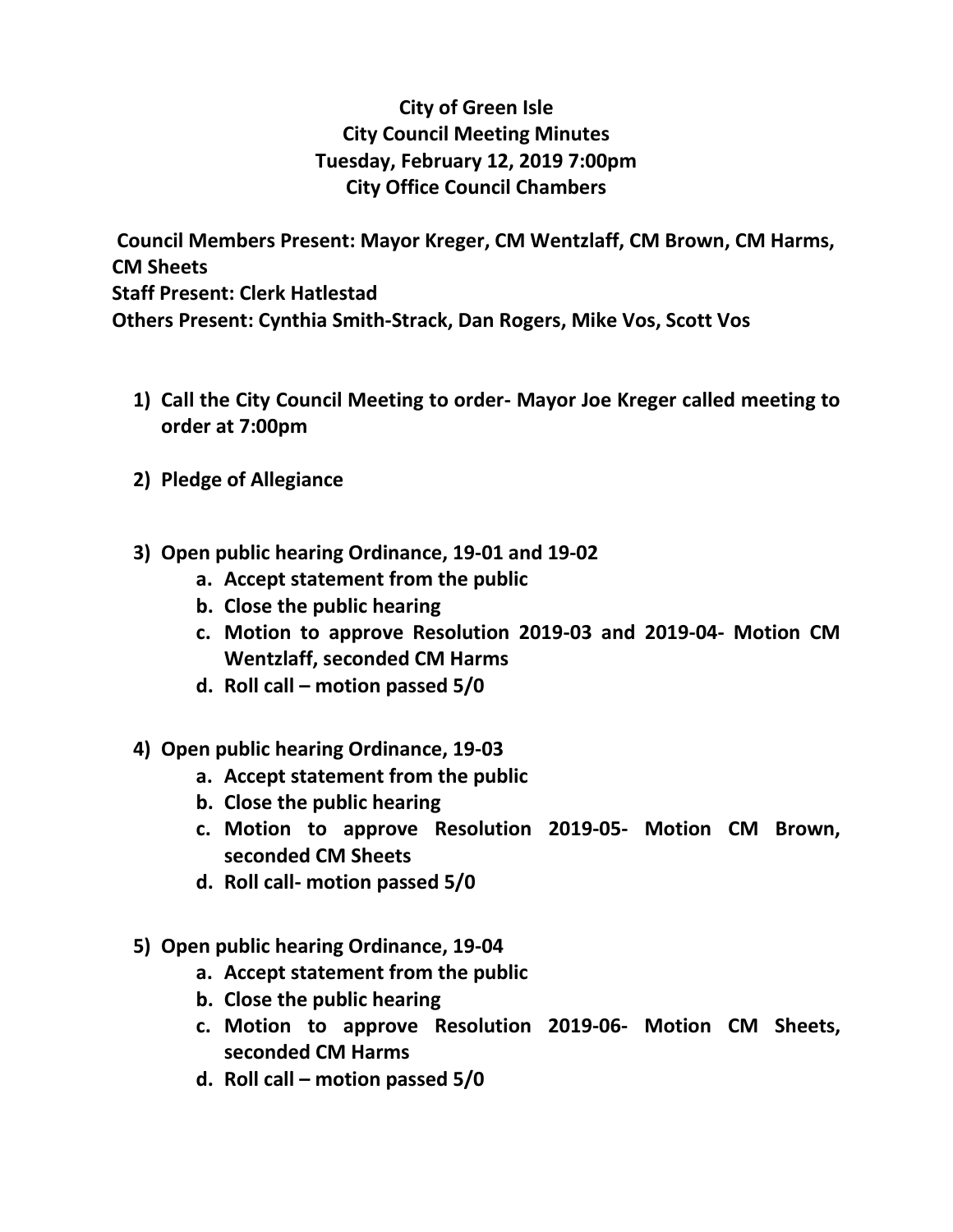## **City of Green Isle City Council Meeting Minutes Tuesday, February 12, 2019 7:00pm City Office Council Chambers**

**Council Members Present: Mayor Kreger, CM Wentzlaff, CM Brown, CM Harms, CM Sheets Staff Present: Clerk Hatlestad Others Present: Cynthia Smith-Strack, Dan Rogers, Mike Vos, Scott Vos**

- **1) Call the City Council Meeting to order- Mayor Joe Kreger called meeting to order at 7:00pm**
- **2) Pledge of Allegiance**
- **3) Open public hearing Ordinance, 19-01 and 19-02**
	- **a. Accept statement from the public**
	- **b. Close the public hearing**
	- **c. Motion to approve Resolution 2019-03 and 2019-04- Motion CM Wentzlaff, seconded CM Harms**
	- **d. Roll call – motion passed 5/0**
- **4) Open public hearing Ordinance, 19-03**
	- **a. Accept statement from the public**
	- **b. Close the public hearing**
	- **c. Motion to approve Resolution 2019-05- Motion CM Brown, seconded CM Sheets**
	- **d. Roll call- motion passed 5/0**
- **5) Open public hearing Ordinance, 19-04**
	- **a. Accept statement from the public**
	- **b. Close the public hearing**
	- **c. Motion to approve Resolution 2019-06- Motion CM Sheets, seconded CM Harms**
	- **d. Roll call – motion passed 5/0**